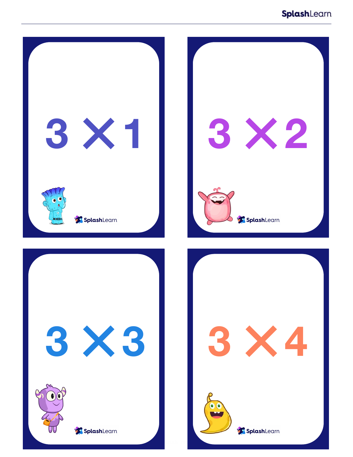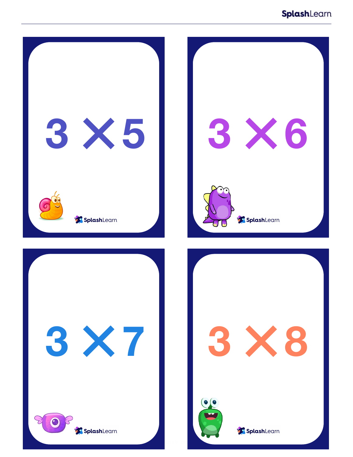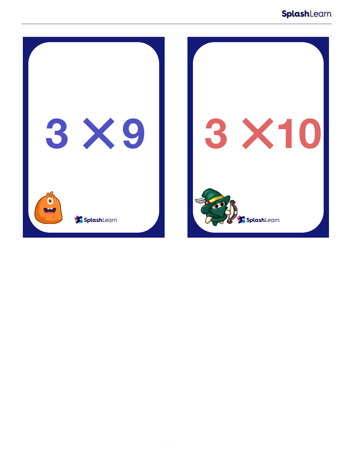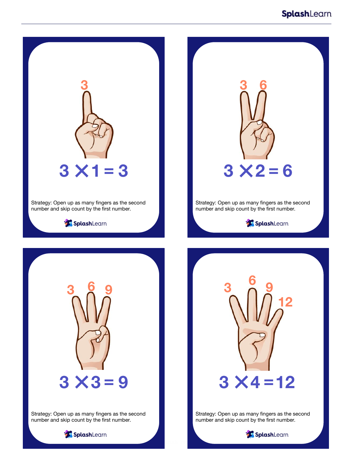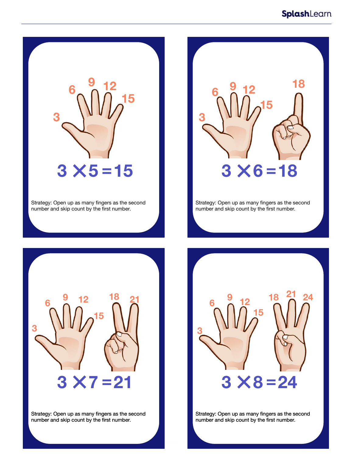

Strategy: Open up as many fingers as the second number and skip count by the first number.



Strategy: Open up as many fingers as the second number and skip count by the first number.



Strategy: Open up as many fingers as the second number and skip count by the first number.



Strategy: Open up as many fingers as the second number and skip count by the first number.